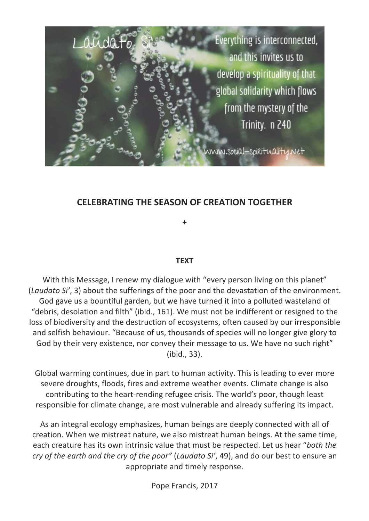

# **CELEBRATING THE SEASON OF CREATION TOGETHER**

**+**

### **TEXT**

With this Message, I renew my dialogue with "every person living on this planet" (*Laudato Si'*, 3) about the sufferings of the poor and the devastation of the environment. God gave us a bountiful garden, but we have turned it into a polluted wasteland of "debris, desolation and filth" (ibid., 161). We must not be indifferent or resigned to the loss of biodiversity and the destruction of ecosystems, often caused by our irresponsible and selfish behaviour. "Because of us, thousands of species will no longer give glory to God by their very existence, nor convey their message to us. We have no such right" (ibid., 33).

Global warming continues, due in part to human activity. This is leading to ever more severe droughts, floods, fires and extreme weather events. Climate change is also contributing to the heart-rending refugee crisis. The world's poor, though least responsible for climate change, are most vulnerable and already suffering its impact.

As an integral ecology emphasizes, human beings are deeply connected with all of creation. When we mistreat nature, we also mistreat human beings. At the same time, each creature has its own intrinsic value that must be respected. Let us hear "*both the cry of the earth and the cry of the poor"* (*Laudato Si'*, 49), and do our best to ensure an appropriate and timely response.

Pope Francis, 2017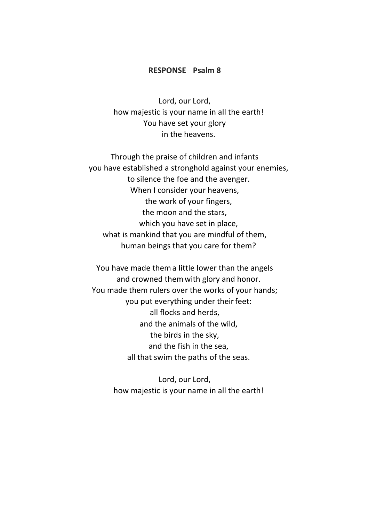#### **RESPONSE Psalm 8**

Lord, our Lord, how majestic is your name in all the earth! You have set your glory in the heavens.

Through the praise of children and infants you have established a stronghold against your enemies, to silence the foe and the avenger. When I consider your heavens, the work of your fingers, the moon and the stars, which you have set in place, what is mankind that you are mindful of them, human beings that you care for them?

You have made thema little lower than the angels and crowned themwith glory and honor. You made them rulers over the works of your hands; you put everything under their feet: all flocks and herds, and the animals of the wild, the birds in the sky, and the fish in the sea, all that swim the paths of the seas.

> Lord, our Lord, how majestic is your name in all the earth!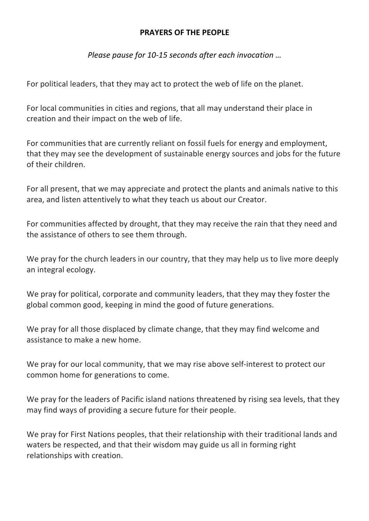### **PRAYERS OF THE PEOPLE**

*Please pause for 10-15 seconds after each invocation …* 

For political leaders, that they may act to protect the web of life on the planet.

For local communities in cities and regions, that all may understand their place in creation and their impact on the web of life.

For communities that are currently reliant on fossil fuels for energy and employment, that they may see the development of sustainable energy sources and jobs for the future of their children.

For all present, that we may appreciate and protect the plants and animals native to this area, and listen attentively to what they teach us about our Creator.

For communities affected by drought, that they may receive the rain that they need and the assistance of others to see them through.

We pray for the church leaders in our country, that they may help us to live more deeply an integral ecology.

We pray for political, corporate and community leaders, that they may they foster the global common good, keeping in mind the good of future generations.

We pray for all those displaced by climate change, that they may find welcome and assistance to make a new home.

We pray for our local community, that we may rise above self-interest to protect our common home for generations to come.

We pray for the leaders of Pacific island nations threatened by rising sea levels, that they may find ways of providing a secure future for their people.

We pray for First Nations peoples, that their relationship with their traditional lands and waters be respected, and that their wisdom may guide us all in forming right relationships with creation.